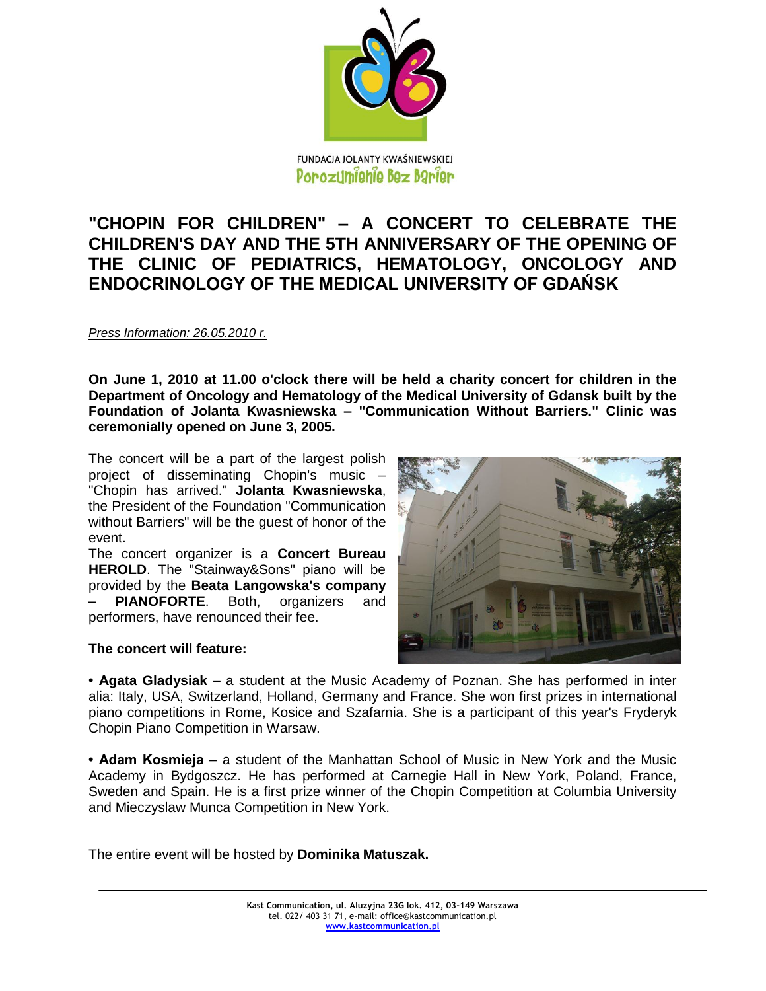

## **"CHOPIN FOR CHILDREN" – A CONCERT TO CELEBRATE THE CHILDREN'S DAY AND THE 5TH ANNIVERSARY OF THE OPENING OF THE CLINIC OF PEDIATRICS, HEMATOLOGY, ONCOLOGY AND ENDOCRINOLOGY OF THE MEDICAL UNIVERSITY OF GDAŃSK**

*Press Information: 26.05.2010 r.*

**On June 1, 2010 at 11.00 o'clock there will be held a charity concert for children in the Department of Oncology and Hematology of the Medical University of Gdansk built by the Foundation of Jolanta Kwasniewska – "Communication Without Barriers." Clinic was ceremonially opened on June 3, 2005.**

The concert will be a part of the largest polish project of disseminating Chopin's music – "Chopin has arrived." **Jolanta Kwasniewska**, the President of the Foundation "Communication without Barriers" will be the guest of honor of the event.

The concert organizer is a **Concert Bureau HEROLD**. The "Stainway&Sons" piano will be provided by the **Beata Langowska's company – PIANOFORTE**. Both, organizers and performers, have renounced their fee.



## **The concert will feature:**

**• Agata Gladysiak** – a student at the Music Academy of Poznan. She has performed in inter alia: Italy, USA, Switzerland, Holland, Germany and France. She won first prizes in international piano competitions in Rome, Kosice and Szafarnia. She is a participant of this year's Fryderyk Chopin Piano Competition in Warsaw.

**• Adam Kosmieja** – a student of the Manhattan School of Music in New York and the Music Academy in Bydgoszcz. He has performed at Carnegie Hall in New York, Poland, France, Sweden and Spain. He is a first prize winner of the Chopin Competition at Columbia University and Mieczyslaw Munca Competition in New York.

The entire event will be hosted by **Dominika Matuszak.**